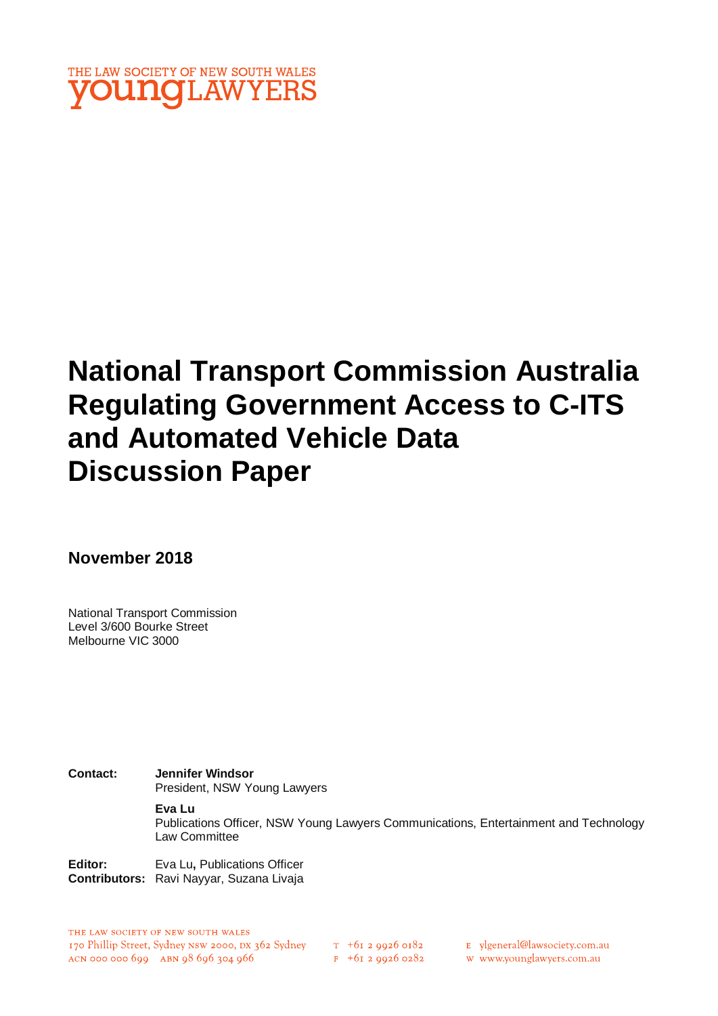

# **National Transport Commission Australia Regulating Government Access to C-ITS and Automated Vehicle Data Discussion Paper**

**November 2018**

National Transport Commission Level 3/600 Bourke Street Melbourne VIC 3000

**Contact: Jennifer Windsor** President, NSW Young Lawyers

#### **Eva Lu**

Publications Officer, NSW Young Lawyers Communications, Entertainment and Technology Law Committee

**Editor:** Eva Lu, Publications Officer **Contributors:** Ravi Nayyar, Suzana Livaja

THE LAW SOCIETY OF NEW SOUTH WALES 170 Phillip Street, Sydney NSW 2000, DX 362 Sydney ACN 000 000 699 ABN 98 696 304 966

 $T_{+61}$  2 9926 0182

 $F$  +61 2 9926 0282

E ylgeneral@lawsociety.com.au

w www.younglawyers.com.au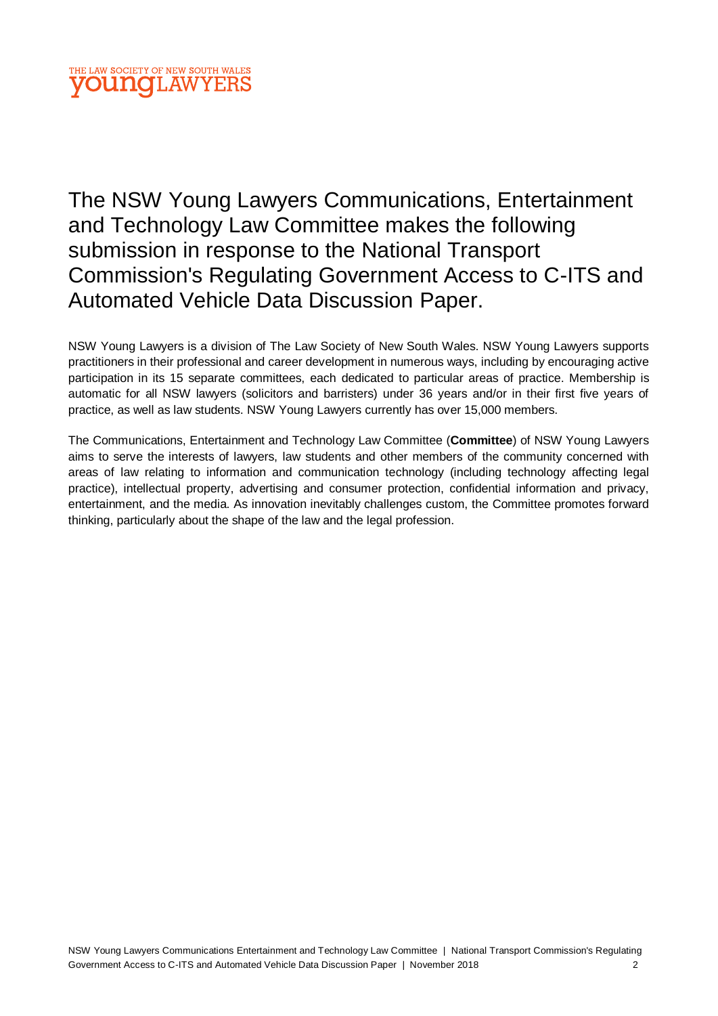### THE LAW SOCIETY OF NEW SOUTH WALES **OUNOLAW**

The NSW Young Lawyers Communications, Entertainment and Technology Law Committee makes the following submission in response to the National Transport Commission's Regulating Government Access to C-ITS and Automated Vehicle Data Discussion Paper.

NSW Young Lawyers is a division of The Law Society of New South Wales. NSW Young Lawyers supports practitioners in their professional and career development in numerous ways, including by encouraging active participation in its 15 separate committees, each dedicated to particular areas of practice. Membership is automatic for all NSW lawyers (solicitors and barristers) under 36 years and/or in their first five years of practice, as well as law students. NSW Young Lawyers currently has over 15,000 members.

The Communications, Entertainment and Technology Law Committee (**Committee**) of NSW Young Lawyers aims to serve the interests of lawyers, law students and other members of the community concerned with areas of law relating to information and communication technology (including technology affecting legal practice), intellectual property, advertising and consumer protection, confidential information and privacy, entertainment, and the media. As innovation inevitably challenges custom, the Committee promotes forward thinking, particularly about the shape of the law and the legal profession.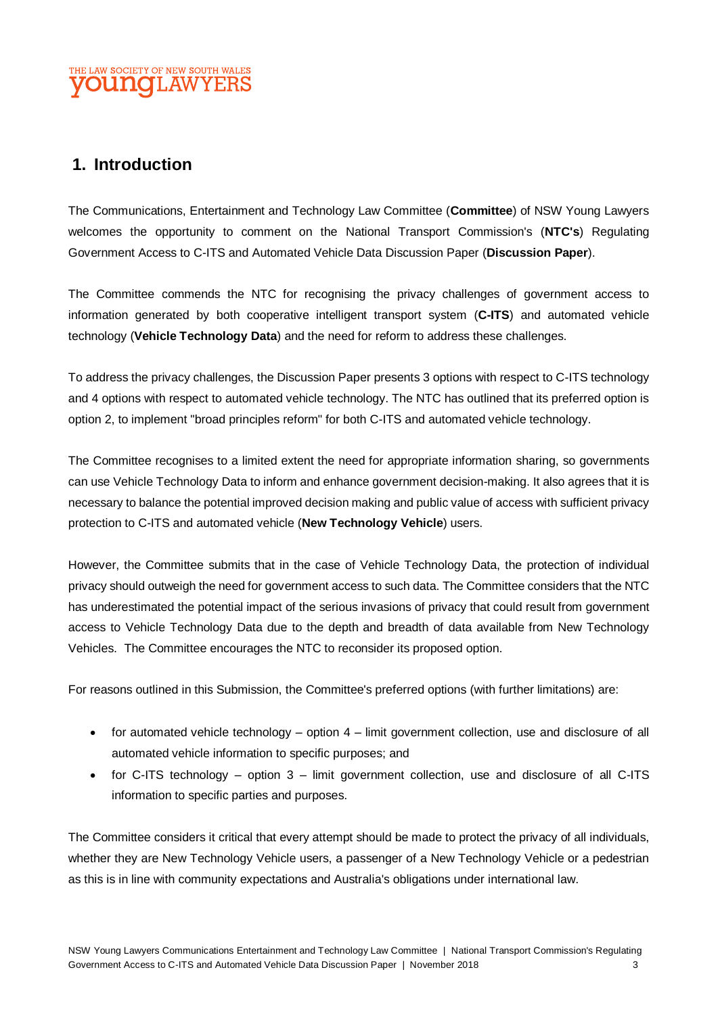# **1. Introduction**

The Communications, Entertainment and Technology Law Committee (**Committee**) of NSW Young Lawyers welcomes the opportunity to comment on the National Transport Commission's (**NTC's**) Regulating Government Access to C-ITS and Automated Vehicle Data Discussion Paper (**Discussion Paper**).

The Committee commends the NTC for recognising the privacy challenges of government access to information generated by both cooperative intelligent transport system (**C-ITS**) and automated vehicle technology (**Vehicle Technology Data**) and the need for reform to address these challenges.

To address the privacy challenges, the Discussion Paper presents 3 options with respect to C-ITS technology and 4 options with respect to automated vehicle technology. The NTC has outlined that its preferred option is option 2, to implement "broad principles reform" for both C-ITS and automated vehicle technology.

The Committee recognises to a limited extent the need for appropriate information sharing, so governments can use Vehicle Technology Data to inform and enhance government decision-making. It also agrees that it is necessary to balance the potential improved decision making and public value of access with sufficient privacy protection to C-ITS and automated vehicle (**New Technology Vehicle**) users.

However, the Committee submits that in the case of Vehicle Technology Data, the protection of individual privacy should outweigh the need for government access to such data. The Committee considers that the NTC has underestimated the potential impact of the serious invasions of privacy that could result from government access to Vehicle Technology Data due to the depth and breadth of data available from New Technology Vehicles. The Committee encourages the NTC to reconsider its proposed option.

For reasons outlined in this Submission, the Committee's preferred options (with further limitations) are:

- for automated vehicle technology option 4 limit government collection, use and disclosure of all automated vehicle information to specific purposes; and
- for C-ITS technology option 3 limit government collection, use and disclosure of all C-ITS information to specific parties and purposes.

The Committee considers it critical that every attempt should be made to protect the privacy of all individuals, whether they are New Technology Vehicle users, a passenger of a New Technology Vehicle or a pedestrian as this is in line with community expectations and Australia's obligations under international law.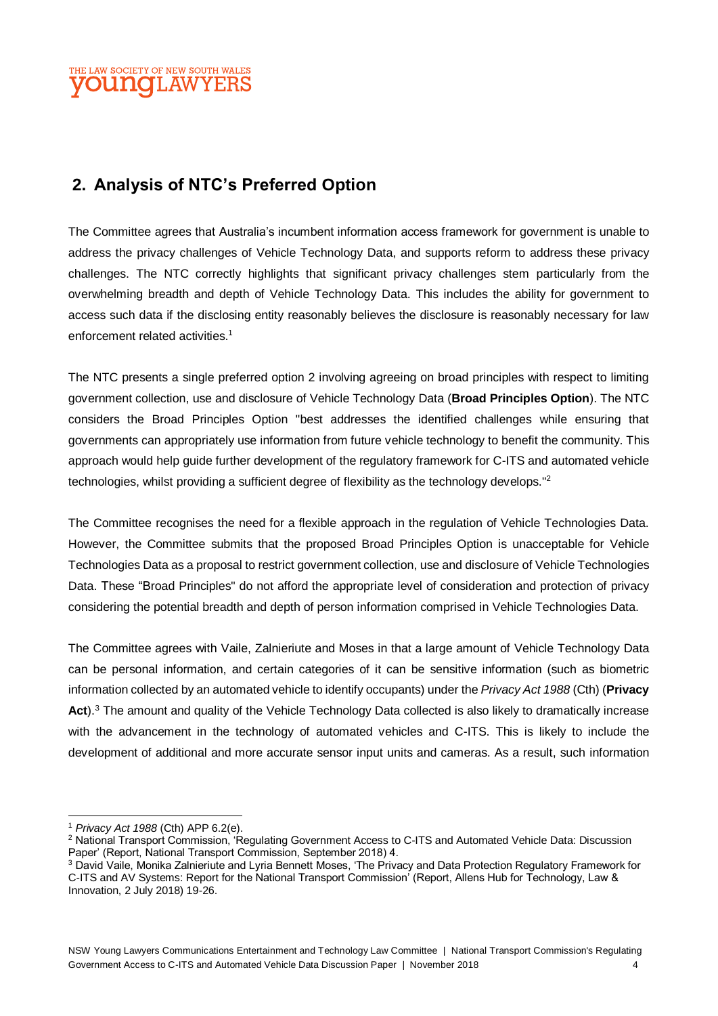#### THE LAW SOCIETY OF NEW SOUTH WALES **OUNOLAW**

# **2. Analysis of NTC's Preferred Option**

The Committee agrees that Australia's incumbent information access framework for government is unable to address the privacy challenges of Vehicle Technology Data, and supports reform to address these privacy challenges. The NTC correctly highlights that significant privacy challenges stem particularly from the overwhelming breadth and depth of Vehicle Technology Data. This includes the ability for government to access such data if the disclosing entity reasonably believes the disclosure is reasonably necessary for law enforcement related activities.<sup>1</sup>

The NTC presents a single preferred option 2 involving agreeing on broad principles with respect to limiting government collection, use and disclosure of Vehicle Technology Data (**Broad Principles Option**). The NTC considers the Broad Principles Option "best addresses the identified challenges while ensuring that governments can appropriately use information from future vehicle technology to benefit the community. This approach would help guide further development of the regulatory framework for C-ITS and automated vehicle technologies, whilst providing a sufficient degree of flexibility as the technology develops."<sup>2</sup>

The Committee recognises the need for a flexible approach in the regulation of Vehicle Technologies Data. However, the Committee submits that the proposed Broad Principles Option is unacceptable for Vehicle Technologies Data as a proposal to restrict government collection, use and disclosure of Vehicle Technologies Data. These "Broad Principles" do not afford the appropriate level of consideration and protection of privacy considering the potential breadth and depth of person information comprised in Vehicle Technologies Data.

The Committee agrees with Vaile, Zalnieriute and Moses in that a large amount of Vehicle Technology Data can be personal information, and certain categories of it can be sensitive information (such as biometric information collected by an automated vehicle to identify occupants) under the *Privacy Act 1988* (Cth) (**Privacy Act**). <sup>3</sup> The amount and quality of the Vehicle Technology Data collected is also likely to dramatically increase with the advancement in the technology of automated vehicles and C-ITS. This is likely to include the development of additional and more accurate sensor input units and cameras. As a result, such information

l <sup>1</sup> *Privacy Act 1988* (Cth) APP 6.2(e).

<sup>2</sup> National Transport Commission, 'Regulating Government Access to C-ITS and Automated Vehicle Data: Discussion Paper' (Report, National Transport Commission, September 2018) 4.

<sup>3</sup> David Vaile, Monika Zalnieriute and Lyria Bennett Moses, 'The Privacy and Data Protection Regulatory Framework for C-ITS and AV Systems: Report for the National Transport Commission' (Report, Allens Hub for Technology, Law & Innovation, 2 July 2018) 19-26.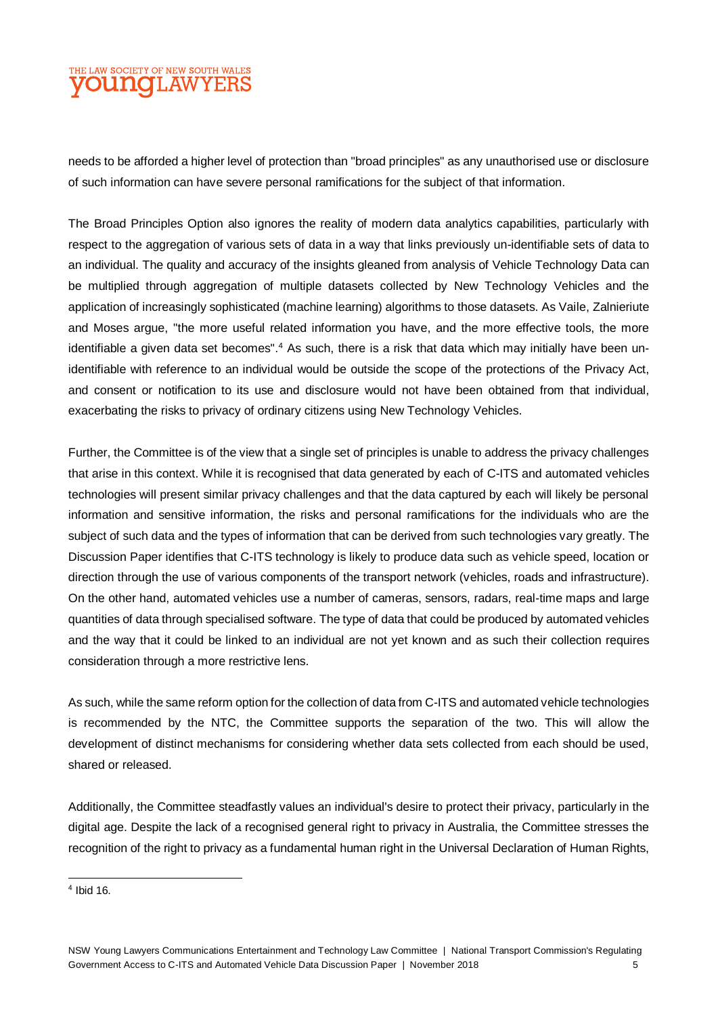#### THE LAW SOCIETY OF NEW SOUTH WALES **OUNOLAWYERS**

needs to be afforded a higher level of protection than "broad principles" as any unauthorised use or disclosure of such information can have severe personal ramifications for the subject of that information.

The Broad Principles Option also ignores the reality of modern data analytics capabilities, particularly with respect to the aggregation of various sets of data in a way that links previously un-identifiable sets of data to an individual. The quality and accuracy of the insights gleaned from analysis of Vehicle Technology Data can be multiplied through aggregation of multiple datasets collected by New Technology Vehicles and the application of increasingly sophisticated (machine learning) algorithms to those datasets. As Vaile, Zalnieriute and Moses argue, "the more useful related information you have, and the more effective tools, the more identifiable a given data set becomes".<sup>4</sup> As such, there is a risk that data which may initially have been unidentifiable with reference to an individual would be outside the scope of the protections of the Privacy Act, and consent or notification to its use and disclosure would not have been obtained from that individual, exacerbating the risks to privacy of ordinary citizens using New Technology Vehicles.

Further, the Committee is of the view that a single set of principles is unable to address the privacy challenges that arise in this context. While it is recognised that data generated by each of C-ITS and automated vehicles technologies will present similar privacy challenges and that the data captured by each will likely be personal information and sensitive information, the risks and personal ramifications for the individuals who are the subject of such data and the types of information that can be derived from such technologies vary greatly. The Discussion Paper identifies that C-ITS technology is likely to produce data such as vehicle speed, location or direction through the use of various components of the transport network (vehicles, roads and infrastructure). On the other hand, automated vehicles use a number of cameras, sensors, radars, real-time maps and large quantities of data through specialised software. The type of data that could be produced by automated vehicles and the way that it could be linked to an individual are not yet known and as such their collection requires consideration through a more restrictive lens.

As such, while the same reform option for the collection of data from C-ITS and automated vehicle technologies is recommended by the NTC, the Committee supports the separation of the two. This will allow the development of distinct mechanisms for considering whether data sets collected from each should be used, shared or released.

Additionally, the Committee steadfastly values an individual's desire to protect their privacy, particularly in the digital age. Despite the lack of a recognised general right to privacy in Australia, the Committee stresses the recognition of the right to privacy as a fundamental human right in the Universal Declaration of Human Rights,

 4 Ibid 16.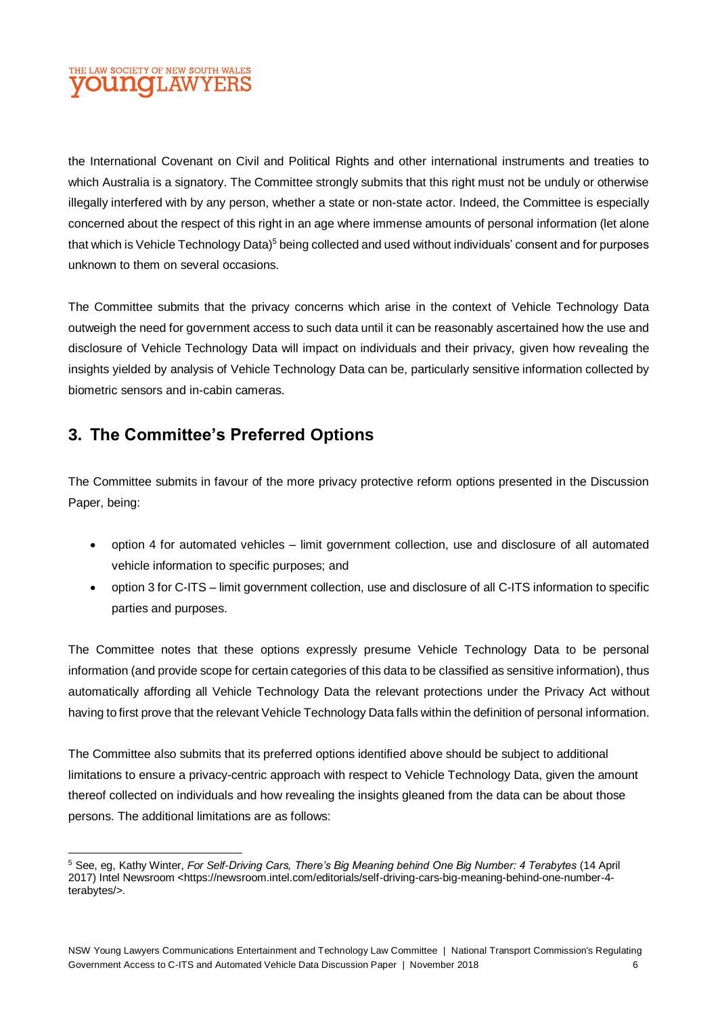### THE LAW SOCIETY OF NEW SOUTH WALES **OUNCLAW**

the International Covenant on Civil and Political Rights and other international instruments and treaties to which Australia is a signatory. The Committee strongly submits that this right must not be unduly or otherwise illegally interfered with by any person, whether a state or non-state actor. Indeed, the Committee is especially concerned about the respect of this right in an age where immense amounts of personal information (let alone that which is Vehicle Technology Data)<sup>5</sup> being collected and used without individuals' consent and for purposes unknown to them on several occasions.

The Committee submits that the privacy concerns which arise in the context of Vehicle Technology Data outweigh the need for government access to such data until it can be reasonably ascertained how the use and disclosure of Vehicle Technology Data will impact on individuals and their privacy, given how revealing the insights yielded by analysis of Vehicle Technology Data can be, particularly sensitive information collected by biometric sensors and in-cabin cameras.

# **3. The Committee's Preferred Options**

The Committee submits in favour of the more privacy protective reform options presented in the Discussion Paper, being:

- option 4 for automated vehicles limit government collection, use and disclosure of all automated vehicle information to specific purposes; and
- option 3 for C-ITS limit government collection, use and disclosure of all C-ITS information to specific parties and purposes.

The Committee notes that these options expressly presume Vehicle Technology Data to be personal information (and provide scope for certain categories of this data to be classified as sensitive information), thus automatically affording all Vehicle Technology Data the relevant protections under the Privacy Act without having to first prove that the relevant Vehicle Technology Data falls within the definition of personal information.

The Committee also submits that its preferred options identified above should be subject to additional limitations to ensure a privacy-centric approach with respect to Vehicle Technology Data, given the amount thereof collected on individuals and how revealing the insights gleaned from the data can be about those persons. The additional limitations are as follows:

 $\overline{a}$ <sup>5</sup> See, eg, Kathy Winter, *For Self-Driving Cars, There's Big Meaning behind One Big Number: 4 Terabytes* (14 April 2017) Intel Newsroom <https://newsroom.intel.com/editorials/self-driving-cars-big-meaning-behind-one-number-4 terabytes/>.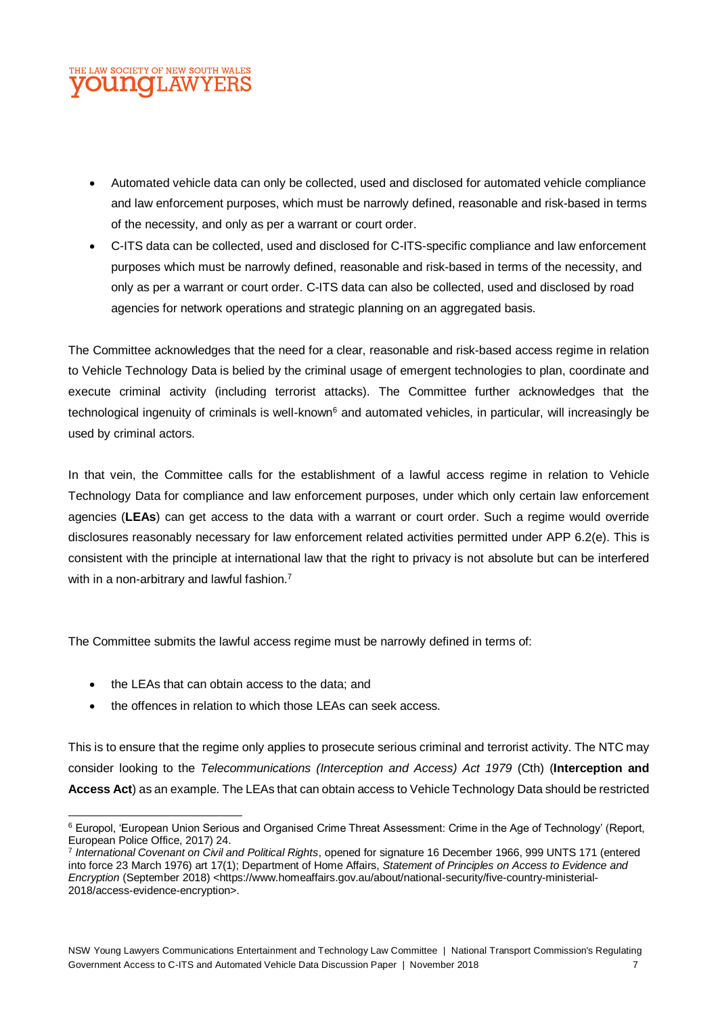#### HE LAW SOCIETY OF NEW SOUTH WALES **DUNOLAW**

- Automated vehicle data can only be collected, used and disclosed for automated vehicle compliance and law enforcement purposes, which must be narrowly defined, reasonable and risk-based in terms of the necessity, and only as per a warrant or court order.
- C-ITS data can be collected, used and disclosed for C-ITS-specific compliance and law enforcement purposes which must be narrowly defined, reasonable and risk-based in terms of the necessity, and only as per a warrant or court order. C-ITS data can also be collected, used and disclosed by road agencies for network operations and strategic planning on an aggregated basis.

The Committee acknowledges that the need for a clear, reasonable and risk-based access regime in relation to Vehicle Technology Data is belied by the criminal usage of emergent technologies to plan, coordinate and execute criminal activity (including terrorist attacks). The Committee further acknowledges that the technological ingenuity of criminals is well-known<sup>6</sup> and automated vehicles, in particular, will increasingly be used by criminal actors.

In that vein, the Committee calls for the establishment of a lawful access regime in relation to Vehicle Technology Data for compliance and law enforcement purposes, under which only certain law enforcement agencies (**LEAs**) can get access to the data with a warrant or court order. Such a regime would override disclosures reasonably necessary for law enforcement related activities permitted under APP 6.2(e). This is consistent with the principle at international law that the right to privacy is not absolute but can be interfered with in a non-arbitrary and lawful fashion.<sup>7</sup>

The Committee submits the lawful access regime must be narrowly defined in terms of:

- the LEAs that can obtain access to the data; and
- the offences in relation to which those LEAs can seek access.

This is to ensure that the regime only applies to prosecute serious criminal and terrorist activity. The NTC may consider looking to the *Telecommunications (Interception and Access) Act 1979* (Cth) (**Interception and Access Act**) as an example. The LEAs that can obtain access to Vehicle Technology Data should be restricted

l <sup>6</sup> Europol, 'European Union Serious and Organised Crime Threat Assessment: Crime in the Age of Technology' (Report, European Police Office, 2017) 24.

<sup>7</sup> *International Covenant on Civil and Political Rights*, opened for signature 16 December 1966, 999 UNTS 171 (entered into force 23 March 1976) art 17(1); Department of Home Affairs, *Statement of Principles on Access to Evidence and Encryption* (September 2018) <https://www.homeaffairs.gov.au/about/national-security/five-country-ministerial-2018/access-evidence-encryption>.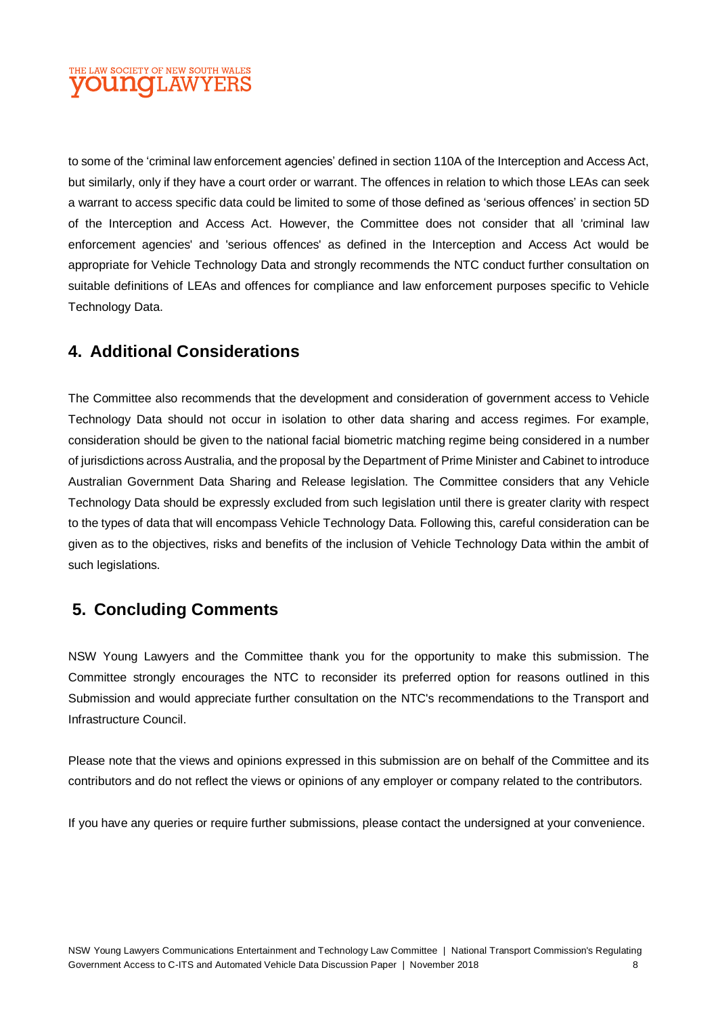#### THE LAW SOCIETY OF NEW SOUTH WALES **OUNOLAWYERS**

to some of the 'criminal law enforcement agencies' defined in section 110A of the Interception and Access Act, but similarly, only if they have a court order or warrant. The offences in relation to which those LEAs can seek a warrant to access specific data could be limited to some of those defined as 'serious offences' in section 5D of the Interception and Access Act. However, the Committee does not consider that all 'criminal law enforcement agencies' and 'serious offences' as defined in the Interception and Access Act would be appropriate for Vehicle Technology Data and strongly recommends the NTC conduct further consultation on suitable definitions of LEAs and offences for compliance and law enforcement purposes specific to Vehicle Technology Data.

## **4. Additional Considerations**

The Committee also recommends that the development and consideration of government access to Vehicle Technology Data should not occur in isolation to other data sharing and access regimes. For example, consideration should be given to the national facial biometric matching regime being considered in a number of jurisdictions across Australia, and the proposal by the Department of Prime Minister and Cabinet to introduce Australian Government Data Sharing and Release legislation. The Committee considers that any Vehicle Technology Data should be expressly excluded from such legislation until there is greater clarity with respect to the types of data that will encompass Vehicle Technology Data. Following this, careful consideration can be given as to the objectives, risks and benefits of the inclusion of Vehicle Technology Data within the ambit of such legislations.

# **5. Concluding Comments**

NSW Young Lawyers and the Committee thank you for the opportunity to make this submission. The Committee strongly encourages the NTC to reconsider its preferred option for reasons outlined in this Submission and would appreciate further consultation on the NTC's recommendations to the Transport and Infrastructure Council.

Please note that the views and opinions expressed in this submission are on behalf of the Committee and its contributors and do not reflect the views or opinions of any employer or company related to the contributors.

If you have any queries or require further submissions, please contact the undersigned at your convenience.